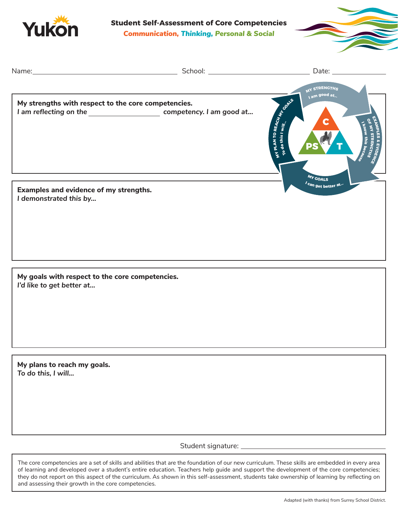

**Student Self-Assessment of Core Competencies** *Communication, Thinking, Personal & Social*



|                                                                              |                                                                               | Date: $\_\_$                                     |
|------------------------------------------------------------------------------|-------------------------------------------------------------------------------|--------------------------------------------------|
|                                                                              |                                                                               | MY STRENGTHS                                     |
| My strengths with respect to the core competencies.                          |                                                                               | I am good at.                                    |
|                                                                              | I am reflecting on the _____________________________ competency. I am good at |                                                  |
|                                                                              |                                                                               | WIPLAN TO REACH MAN<br><b>IPLES &amp; EVIDEN</b> |
|                                                                              |                                                                               | MY COALS                                         |
| Examples and evidence of my strengths.<br>I demonstrated this by             |                                                                               | <i>I</i> can get better at. <sup></sup>          |
|                                                                              |                                                                               |                                                  |
|                                                                              |                                                                               |                                                  |
|                                                                              |                                                                               |                                                  |
|                                                                              |                                                                               |                                                  |
|                                                                              |                                                                               |                                                  |
|                                                                              |                                                                               |                                                  |
| My goals with respect to the core competencies.<br>I'd like to get better at |                                                                               |                                                  |
|                                                                              |                                                                               |                                                  |
|                                                                              |                                                                               |                                                  |
|                                                                              |                                                                               |                                                  |
|                                                                              |                                                                               |                                                  |
|                                                                              |                                                                               |                                                  |
| My plans to reach my goals.<br>To do this, I will                            |                                                                               |                                                  |
|                                                                              |                                                                               |                                                  |
|                                                                              |                                                                               |                                                  |
|                                                                              |                                                                               |                                                  |
|                                                                              |                                                                               |                                                  |
|                                                                              |                                                                               |                                                  |
|                                                                              |                                                                               |                                                  |
|                                                                              |                                                                               |                                                  |

The core competencies are a set of skills and abilities that are the foundation of our new curriculum. These skills are embedded in every area of learning and developed over a student's entire education. Teachers help guide and support the development of the core competencies; they do not report on this aspect of the curriculum. As shown in this self-assessment, students take ownership of learning by reflecting on and assessing their growth in the core competencies.